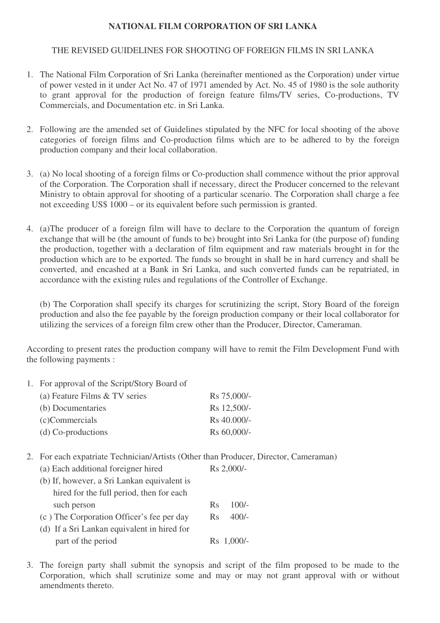## **NATIONAL FILM CORPORATION OF SRI LANKA**

## THE REVISED GUIDELINES FOR SHOOTING OF FOREIGN FILMS IN SRI LANKA

- 1. The National Film Corporation of Sri Lanka (hereinafter mentioned as the Corporation) under virtue of power vested in it under Act No. 47 of 1971 amended by Act. No. 45 of 1980 is the sole authority to grant approval for the production of foreign feature films/TV series, Co-productions, TV Commercials, and Documentation etc. in Sri Lanka.
- 2. Following are the amended set of Guidelines stipulated by the NFC for local shooting of the above categories of foreign films and Co-production films which are to be adhered to by the foreign production company and their local collaboration.
- 3. (a) No local shooting of a foreign films or Co-production shall commence without the prior approval of the Corporation. The Corporation shall if necessary, direct the Producer concerned to the relevant Ministry to obtain approval for shooting of a particular scenario. The Corporation shall charge a fee not exceeding US\$ 1000 – or its equivalent before such permission is granted.
- 4. (a)The producer of a foreign film will have to declare to the Corporation the quantum of foreign exchange that will be (the amount of funds to be) brought into Sri Lanka for (the purpose of) funding the production, together with a declaration of film equipment and raw materials brought in for the production which are to be exported. The funds so brought in shall be in hard currency and shall be converted, and encashed at a Bank in Sri Lanka, and such converted funds can be repatriated, in accordance with the existing rules and regulations of the Controller of Exchange.

(b) The Corporation shall specify its charges for scrutinizing the script, Story Board of the foreign production and also the fee payable by the foreign production company or their local collaborator for utilizing the services of a foreign film crew other than the Producer, Director, Cameraman.

According to present rates the production company will have to remit the Film Development Fund with the following payments :

1. For approval of the Script/Story Board of

| (a) Feature Films & TV series | Rs 75,000/- |
|-------------------------------|-------------|
| (b) Documentaries             | Rs 12,500/- |
| (c)Commercials                | Rs 40.000/- |
| $(d)$ Co-productions          | Rs 60,000/- |

2. For each expatriate Technician/Artists (Other than Producer, Director, Cameraman)

| (a) Each additional foreigner hired         | Rs 2,000/-         |
|---------------------------------------------|--------------------|
| (b) If, however, a Sri Lankan equivalent is |                    |
| hired for the full period, then for each    |                    |
| such person                                 | $100/-$<br>$R_{S}$ |
| (c) The Corporation Officer's fee per day   | $400/-$<br>Rs      |
| (d) If a Sri Lankan equivalent in hired for |                    |
| part of the period                          | Rs 1,000/-         |

3. The foreign party shall submit the synopsis and script of the film proposed to be made to the Corporation, which shall scrutinize some and may or may not grant approval with or without amendments thereto.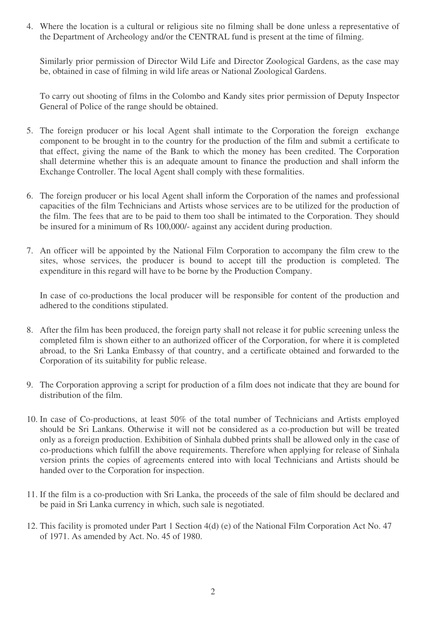4. Where the location is a cultural or religious site no filming shall be done unless a representative of the Department of Archeology and/or the CENTRAL fund is present at the time of filming.

Similarly prior permission of Director Wild Life and Director Zoological Gardens, as the case may be, obtained in case of filming in wild life areas or National Zoological Gardens.

To carry out shooting of films in the Colombo and Kandy sites prior permission of Deputy Inspector General of Police of the range should be obtained.

- 5. The foreign producer or his local Agent shall intimate to the Corporation the foreign exchange component to be brought in to the country for the production of the film and submit a certificate to that effect, giving the name of the Bank to which the money has been credited. The Corporation shall determine whether this is an adequate amount to finance the production and shall inform the Exchange Controller. The local Agent shall comply with these formalities.
- 6. The foreign producer or his local Agent shall inform the Corporation of the names and professional capacities of the film Technicians and Artists whose services are to be utilized for the production of the film. The fees that are to be paid to them too shall be intimated to the Corporation. They should be insured for a minimum of Rs 100,000/- against any accident during production.
- 7. An officer will be appointed by the National Film Corporation to accompany the film crew to the sites, whose services, the producer is bound to accept till the production is completed. The expenditure in this regard will have to be borne by the Production Company.

In case of co-productions the local producer will be responsible for content of the production and adhered to the conditions stipulated.

- 8. After the film has been produced, the foreign party shall not release it for public screening unless the completed film is shown either to an authorized officer of the Corporation, for where it is completed abroad, to the Sri Lanka Embassy of that country, and a certificate obtained and forwarded to the Corporation of its suitability for public release.
- 9. The Corporation approving a script for production of a film does not indicate that they are bound for distribution of the film.
- 10. In case of Co-productions, at least 50% of the total number of Technicians and Artists employed should be Sri Lankans. Otherwise it will not be considered as a co-production but will be treated only as a foreign production. Exhibition of Sinhala dubbed prints shall be allowed only in the case of co-productions which fulfill the above requirements. Therefore when applying for release of Sinhala version prints the copies of agreements entered into with local Technicians and Artists should be handed over to the Corporation for inspection.
- 11. If the film is a co-production with Sri Lanka, the proceeds of the sale of film should be declared and be paid in Sri Lanka currency in which, such sale is negotiated.
- 12. This facility is promoted under Part 1 Section 4(d) (e) of the National Film Corporation Act No. 47 of 1971. As amended by Act. No. 45 of 1980.